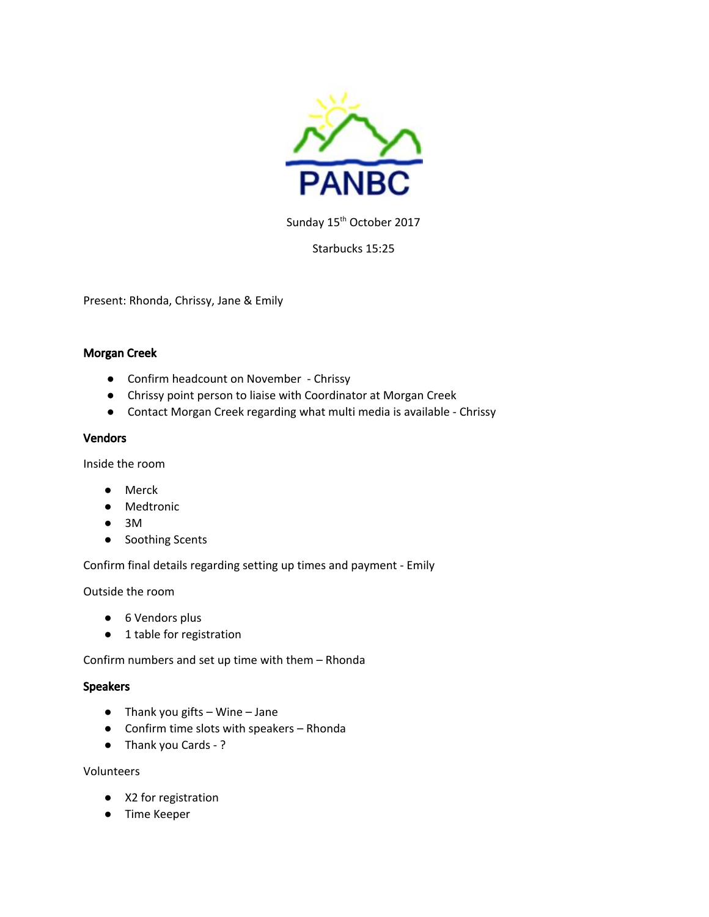

Sunday 15<sup>th</sup> October 2017

Starbucks 15:25

Present: Rhonda, Chrissy, Jane & Emily

### Morgan Creek

- Confirm headcount on November Chrissy
- Chrissy point person to liaise with Coordinator at Morgan Creek
- Contact Morgan Creek regarding what multi media is available Chrissy

#### Vendors

Inside the room

- Merck
- Medtronic
- 3M
- Soothing Scents

Confirm final details regarding setting up times and payment - Emily

Outside the room

- 6 Vendors plus
- 1 table for registration

Confirm numbers and set up time with them – Rhonda

#### **Speakers**

- Thank you gifts Wine Jane
- Confirm time slots with speakers Rhonda
- Thank you Cards ?

Volunteers

- X2 for registration
- Time Keeper